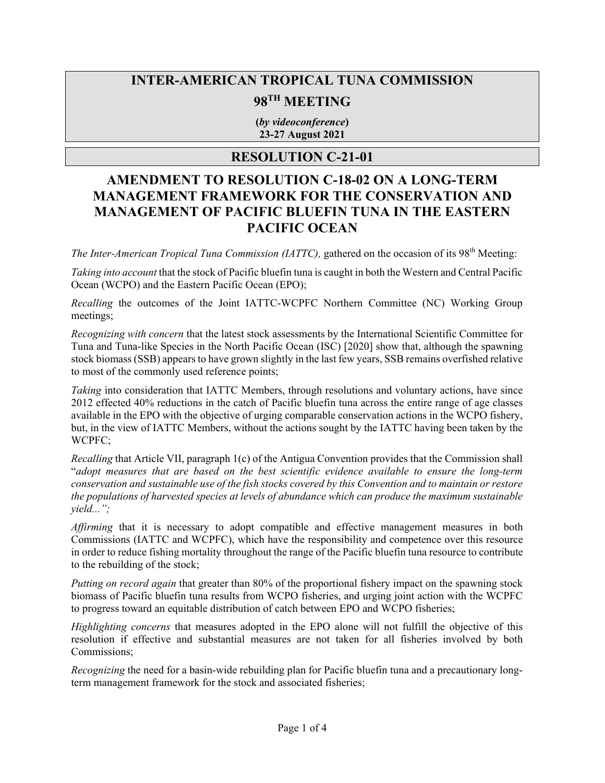## **INTER-AMERICAN TROPICAL TUNA COMMISSION**

# **98TH MEETING**

**(***by videoconference***) 23-27 August 2021**

### **RESOLUTION C-21-01**

## **AMENDMENT TO RESOLUTION C-18-02 ON A LONG-TERM MANAGEMENT FRAMEWORK FOR THE CONSERVATION AND MANAGEMENT OF PACIFIC BLUEFIN TUNA IN THE EASTERN PACIFIC OCEAN**

*The Inter-American Tropical Tuna Commission (IATTC)*, gathered on the occasion of its 98<sup>th</sup> Meeting:

*Taking into account* that the stock of Pacific bluefin tuna is caught in both the Western and Central Pacific Ocean (WCPO) and the Eastern Pacific Ocean (EPO);

*Recalling* the outcomes of the Joint IATTC-WCPFC Northern Committee (NC) Working Group meetings;

*Recognizing with concern* that the latest stock assessments by the International Scientific Committee for Tuna and Tuna-like Species in the North Pacific Ocean (ISC) [2020] show that, although the spawning stock biomass (SSB) appears to have grown slightly in the last few years, SSB remains overfished relative to most of the commonly used reference points;

*Taking* into consideration that IATTC Members, through resolutions and voluntary actions, have since 2012 effected 40% reductions in the catch of Pacific bluefin tuna across the entire range of age classes available in the EPO with the objective of urging comparable conservation actions in the WCPO fishery, but, in the view of IATTC Members, without the actions sought by the IATTC having been taken by the WCPFC;

*Recalling* that Article VII, paragraph 1(c) of the Antigua Convention provides that the Commission shall "*adopt measures that are based on the best scientific evidence available to ensure the long-term conservation and sustainable use of the fish stocks covered by this Convention and to maintain or restore the populations of harvested species at levels of abundance which can produce the maximum sustainable yield...";*

*Affirming* that it is necessary to adopt compatible and effective management measures in both Commissions (IATTC and WCPFC), which have the responsibility and competence over this resource in order to reduce fishing mortality throughout the range of the Pacific bluefin tuna resource to contribute to the rebuilding of the stock;

*Putting on record again* that greater than 80% of the proportional fishery impact on the spawning stock biomass of Pacific bluefin tuna results from WCPO fisheries, and urging joint action with the WCPFC to progress toward an equitable distribution of catch between EPO and WCPO fisheries;

*Highlighting concerns* that measures adopted in the EPO alone will not fulfill the objective of this resolution if effective and substantial measures are not taken for all fisheries involved by both Commissions;

*Recognizing* the need for a basin-wide rebuilding plan for Pacific bluefin tuna and a precautionary longterm management framework for the stock and associated fisheries;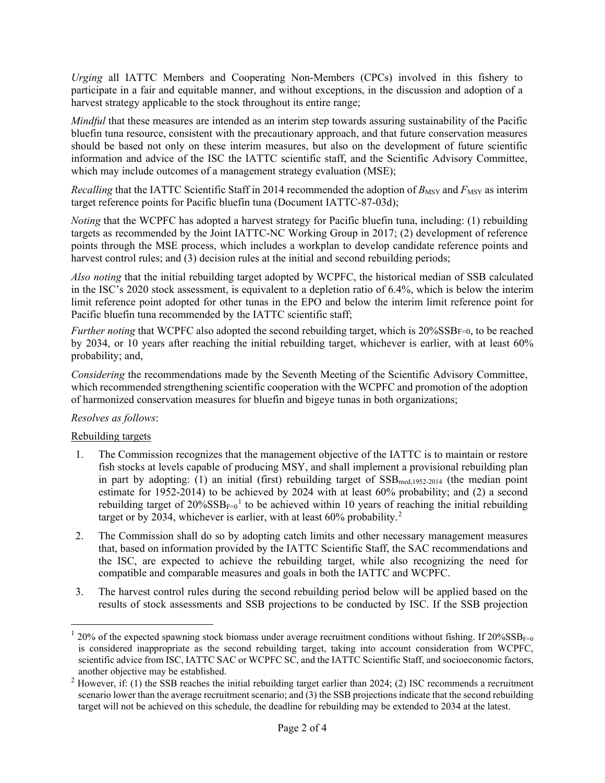*Urging* all IATTC Members and Cooperating Non-Members (CPCs) involved in this fishery to participate in a fair and equitable manner, and without exceptions, in the discussion and adoption of a harvest strategy applicable to the stock throughout its entire range;

*Mindful* that these measures are intended as an interim step towards assuring sustainability of the Pacific bluefin tuna resource, consistent with the precautionary approach, and that future conservation measures should be based not only on these interim measures, but also on the development of future scientific information and advice of the ISC the IATTC scientific staff, and the Scientific Advisory Committee, which may include outcomes of a management strategy evaluation (MSE);

*Recalling* that the IATTC Scientific Staff in 2014 recommended the adoption of *B*<sub>MSY</sub> and *F*<sub>MSY</sub> as interim target reference points for Pacific bluefin tuna (Document IATTC-87-03d);

*Noting* that the WCPFC has adopted a harvest strategy for Pacific bluefin tuna, including: (1) rebuilding targets as recommended by the Joint IATTC-NC Working Group in 2017; (2) development of reference points through the MSE process, which includes a workplan to develop candidate reference points and harvest control rules; and (3) decision rules at the initial and second rebuilding periods;

*Also noting* that the initial rebuilding target adopted by WCPFC, the historical median of SSB calculated in the ISC's 2020 stock assessment, is equivalent to a depletion ratio of 6.4%, which is below the interim limit reference point adopted for other tunas in the EPO and below the interim limit reference point for Pacific bluefin tuna recommended by the IATTC scientific staff;

*Further noting* that WCPFC also adopted the second rebuilding target, which is 20%SSBF=0, to be reached by 2034, or 10 years after reaching the initial rebuilding target, whichever is earlier, with at least 60% probability; and,

*Considering* the recommendations made by the Seventh Meeting of the Scientific Advisory Committee, which recommended strengthening scientific cooperation with the WCPFC and promotion of the adoption of harmonized conservation measures for bluefin and bigeye tunas in both organizations;

#### *Resolves as follows*:

#### Rebuilding targets

- 1. The Commission recognizes that the management objective of the IATTC is to maintain or restore fish stocks at levels capable of producing MSY, and shall implement a provisional rebuilding plan in part by adopting: (1) an initial (first) rebuilding target of  $SSB_{med,1952-2014}$  (the median point estimate for 1952-2014) to be achieved by 2024 with at least 60% probability; and (2) a second rebuilding target of  $20\%{\rm SSB}_{\rm F=0}$ <sup>[1](#page-1-0)</sup> to be achieved within 10 years of reaching the initial rebuilding target or by [2](#page-1-1)034, whichever is earlier, with at least  $60\%$  probability.<sup>2</sup>
- 2. The Commission shall do so by adopting catch limits and other necessary management measures that, based on information provided by the IATTC Scientific Staff, the SAC recommendations and the ISC, are expected to achieve the rebuilding target, while also recognizing the need for compatible and comparable measures and goals in both the IATTC and WCPFC.
- 3. The harvest control rules during the second rebuilding period below will be applied based on the results of stock assessments and SSB projections to be conducted by ISC. If the SSB projection

<span id="page-1-0"></span><sup>20%</sup> of the expected spawning stock biomass under average recruitment conditions without fishing. If  $20\%SSB_{F=0}$ is considered inappropriate as the second rebuilding target, taking into account consideration from WCPFC, scientific advice from ISC, IATTC SAC or WCPFC SC, and the IATTC Scientific Staff, and socioeconomic factors, another objective may be established.

<span id="page-1-1"></span> $2$  However, if: (1) the SSB reaches the initial rebuilding target earlier than 2024; (2) ISC recommends a recruitment scenario lower than the average recruitment scenario; and (3) the SSB projections indicate that the second rebuilding target will not be achieved on this schedule, the deadline for rebuilding may be extended to 2034 at the latest.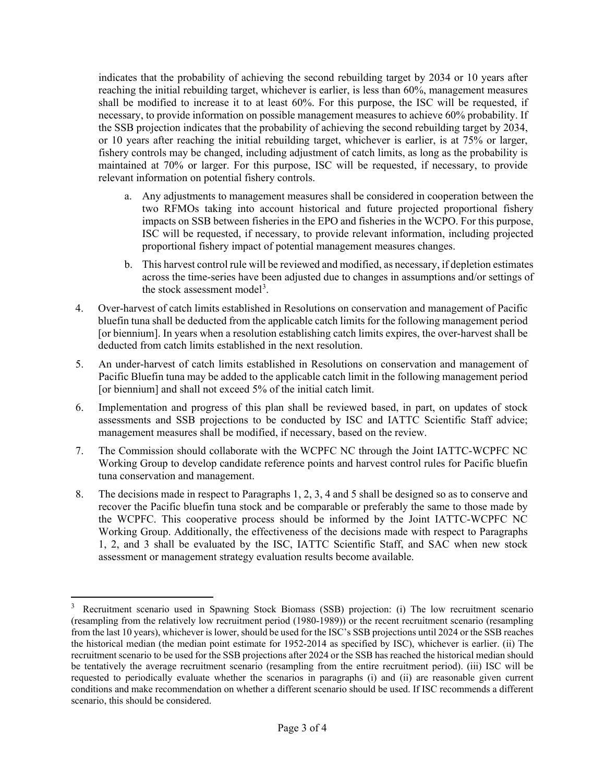indicates that the probability of achieving the second rebuilding target by 2034 or 10 years after reaching the initial rebuilding target, whichever is earlier, is less than 60%, management measures shall be modified to increase it to at least 60%. For this purpose, the ISC will be requested, if necessary, to provide information on possible management measures to achieve 60% probability. If the SSB projection indicates that the probability of achieving the second rebuilding target by 2034, or 10 years after reaching the initial rebuilding target, whichever is earlier, is at 75% or larger, fishery controls may be changed, including adjustment of catch limits, as long as the probability is maintained at 70% or larger. For this purpose, ISC will be requested, if necessary, to provide relevant information on potential fishery controls.

- a. Any adjustments to management measures shall be considered in cooperation between the two RFMOs taking into account historical and future projected proportional fishery impacts on SSB between fisheries in the EPO and fisheries in the WCPO. For this purpose, ISC will be requested, if necessary, to provide relevant information, including projected proportional fishery impact of potential management measures changes.
- b. This harvest control rule will be reviewed and modified, as necessary, if depletion estimates across the time-series have been adjusted due to changes in assumptions and/or settings of the stock assessment model<sup>[3](#page-2-0)</sup>.
- 4. Over-harvest of catch limits established in Resolutions on conservation and management of Pacific bluefin tuna shall be deducted from the applicable catch limits for the following management period [or biennium]. In years when a resolution establishing catch limits expires, the over-harvest shall be deducted from catch limits established in the next resolution.
- 5. An under-harvest of catch limits established in Resolutions on conservation and management of Pacific Bluefin tuna may be added to the applicable catch limit in the following management period [or biennium] and shall not exceed 5% of the initial catch limit.
- 6. Implementation and progress of this plan shall be reviewed based, in part, on updates of stock assessments and SSB projections to be conducted by ISC and IATTC Scientific Staff advice; management measures shall be modified, if necessary, based on the review.
- 7. The Commission should collaborate with the WCPFC NC through the Joint IATTC-WCPFC NC Working Group to develop candidate reference points and harvest control rules for Pacific bluefin tuna conservation and management.
- 8. The decisions made in respect to Paragraphs 1, 2, 3, 4 and 5 shall be designed so as to conserve and recover the Pacific bluefin tuna stock and be comparable or preferably the same to those made by the WCPFC. This cooperative process should be informed by the Joint IATTC-WCPFC NC Working Group. Additionally, the effectiveness of the decisions made with respect to Paragraphs 1, 2, and 3 shall be evaluated by the ISC, IATTC Scientific Staff, and SAC when new stock assessment or management strategy evaluation results become available.

<span id="page-2-0"></span><sup>3</sup> Recruitment scenario used in Spawning Stock Biomass (SSB) projection: (i) The low recruitment scenario (resampling from the relatively low recruitment period (1980-1989)) or the recent recruitment scenario (resampling from the last 10 years), whichever is lower, should be used for the ISC's SSB projections until 2024 or the SSB reaches the historical median (the median point estimate for 1952-2014 as specified by ISC), whichever is earlier. (ii) The recruitment scenario to be used for the SSB projections after 2024 or the SSB has reached the historical median should be tentatively the average recruitment scenario (resampling from the entire recruitment period). (iii) ISC will be requested to periodically evaluate whether the scenarios in paragraphs (i) and (ii) are reasonable given current conditions and make recommendation on whether a different scenario should be used. If ISC recommends a different scenario, this should be considered.